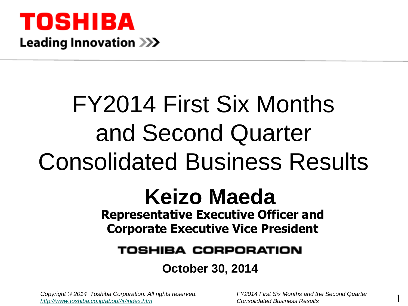

# FY2014 First Six Months and Second Quarter Consolidated Business Results

### **Representative Executive Officer and Corporate Executive Vice President Keizo Maeda**

#### TOSHIBA CORPORATION

#### **October 30, 2014**

*Copyright © 2014 Toshiba Corporation. All rights reserved. FY2014 First Six Months and the Second Quarter <http://www.toshiba.co.jp/about/ir/index.htm> Consolidated Business Results* 

1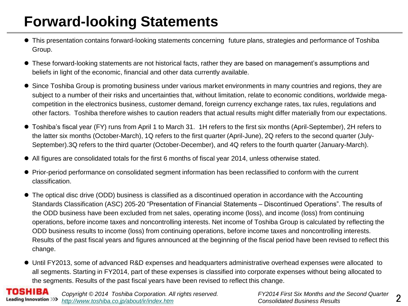# **Forward-looking Statements**

- This presentation contains forward-looking statements concerning future plans, strategies and performance of Toshiba Group.
- These forward-looking statements are not historical facts, rather they are based on management's assumptions and beliefs in light of the economic, financial and other data currently available.
- Since Toshiba Group is promoting business under various market environments in many countries and regions, they are subject to a number of their risks and uncertainties that, without limitation, relate to economic conditions, worldwide megacompetition in the electronics business, customer demand, foreign currency exchange rates, tax rules, regulations and other factors. Toshiba therefore wishes to caution readers that actual results might differ materially from our expectations.
- Toshiba's fiscal year (FY) runs from April 1 to March 31. 1H refers to the first six months (April-September), 2H refers to the latter six months (October-March), 1Q refers to the first quarter (April-June), 2Q refers to the second quarter (July-September).3Q refers to the third quarter (October-December), and 4Q refers to the fourth quarter (January-March).
- All figures are consolidated totals for the first 6 months of fiscal year 2014, unless otherwise stated.
- Prior-period performance on consolidated segment information has been reclassified to conform with the current classification.
- The optical disc drive (ODD) business is classified as a discontinued operation in accordance with the Accounting Standards Classification (ASC) 205-20 "Presentation of Financial Statements – Discontinued Operations". The results of the ODD business have been excluded from net sales, operating income (loss), and income (loss) from continuing operations, before income taxes and noncontrolling interests. Net income of Toshiba Group is calculated by reflecting the ODD business results to income (loss) from continuing operations, before income taxes and noncontrolling interests. Results of the past fiscal years and figures announced at the beginning of the fiscal period have been revised to reflect this change.
- Until FY2013, some of advanced R&D expenses and headquarters administrative overhead expenses were allocated to all segments. Starting in FY2014, part of these expenses is classified into corporate expenses without being allocated to the segments. Results of the past fiscal years have been revised to reflect this change.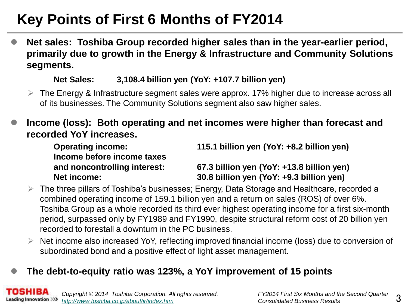# **Key Points of First 6 Months of FY2014**

 **Net sales: Toshiba Group recorded higher sales than in the year-earlier period, primarily due to growth in the Energy & Infrastructure and Community Solutions segments.**

#### **Net Sales: 3,108.4 billion yen (YoY: +107.7 billion yen)**

 $\triangleright$  The Energy & Infrastructure segment sales were approx. 17% higher due to increase across all of its businesses. The Community Solutions segment also saw higher sales.

#### **Income (loss): Both operating and net incomes were higher than forecast and recorded YoY increases.**

**Income before income taxes**

**Operating income: 115.1 billion yen (YoY: +8.2 billion yen)**

#### **and noncontrolling interest: 67.3 billion yen (YoY: +13.8 billion yen) Net income: 30.8 billion yen (YoY: +9.3 billion yen)**

 $\triangleright$  The three pillars of Toshiba's businesses; Energy, Data Storage and Healthcare, recorded a combined operating income of 159.1 billion yen and a return on sales (ROS) of over 6%. Toshiba Group as a whole recorded its third ever highest operating income for a first six-month period, surpassed only by FY1989 and FY1990, despite structural reform cost of 20 billion yen recorded to forestall a downturn in the PC business.

 $\triangleright$  Net income also increased YoY, reflecting improved financial income (loss) due to conversion of subordinated bond and a positive effect of light asset management.

#### **The debt-to-equity ratio was 123%, a YoY improvement of 15 points**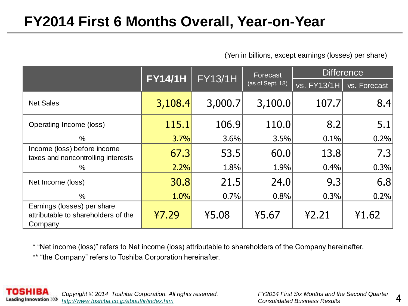#### **FY2014 First 6 Months Overall, Year-on-Year**

(Yen in billions, except earnings (losses) per share)

|                                                                               | <b>FY14/1H</b> | <b>FY13/1H</b> | Forecast         |                    | <b>Difference</b> |
|-------------------------------------------------------------------------------|----------------|----------------|------------------|--------------------|-------------------|
|                                                                               |                |                | (as of Sept. 18) | <b>vs. FY13/1H</b> | vs. Forecast      |
| <b>Net Sales</b>                                                              | 3,108.4        | 3,000.7        | 3,100.0          | 107.7              | 8.4               |
| Operating Income (loss)                                                       | 115.1          | 106.9          | 110.0            | 8.2                | 5.1               |
| $\%$                                                                          | 3.7%           | 3.6%           | 3.5%             | 0.1%               | 0.2%              |
| Income (loss) before income<br>taxes and noncontrolling interests             | 67.3           | 53.5           | 60.0             | 13.8               | 7.3               |
| $\%$                                                                          | 2.2%           | 1.8%           | 1.9%             | 0.4%               | 0.3%              |
| Net Income (loss)                                                             | 30.8           | 21.5           | 24.0             | 9.3                | 6.8               |
| %                                                                             | 1.0%           | 0.7%           | 0.8%             | 0.3%               | 0.2%              |
| Earnings (losses) per share<br>attributable to shareholders of the<br>Company | 47.29          | ¥5.08          | ¥5.67            | 42.21              | 41.62             |

\* "Net income (loss)" refers to Net income (loss) attributable to shareholders of the Company hereinafter.

\*\* "the Company" refers to Toshiba Corporation hereinafter.

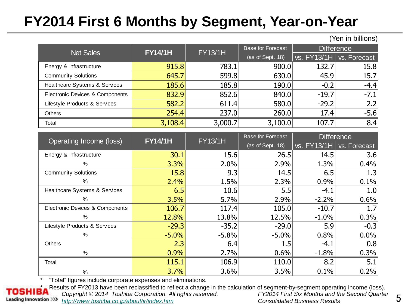# **FY2014 First 6 Months by Segment, Year-on-Year**

(Yen in billions)

| <b>Net Sales</b>                | <b>FY14/1H</b> | <b>FY13/1H</b> | <b>Base for Forecast</b> |             | <b>Difference</b> |
|---------------------------------|----------------|----------------|--------------------------|-------------|-------------------|
|                                 |                |                | (as of Sept. 18)         | vs. FY13/1H | vs. Forecast      |
| Energy & Infrastructure         | 915.8          | 783.1          | 900.0                    | 132.7       | 15.8              |
| <b>Community Solutions</b>      | 645.7          | 599.8          | 630.0                    | 45.9        | 15.7              |
| Healthcare Systems & Services   | 185.6          | 185.8          | 190.0                    | $-0.2$      | $-4.4$            |
| Electronic Devices & Components | 832.9          | 852.6          | 840.0                    | $-19.7$     | $-7.1$            |
| Lifestyle Products & Services   | 582.2          | 611.4          | 580.0                    | $-29.2$     | 2.2               |
| Others                          | 254.4          | 237.0          | 260.0                    | 17.4        | $-5.6$            |
| Total                           | 3,108.4        | 3,000.7        | 3,100.0                  | 107.7       | 8.4               |

| Operating Income (loss)         | <b>FY14/1H</b> | <b>FY13/1H</b> | <b>Base for Forecast</b> |             | <b>Difference</b> |
|---------------------------------|----------------|----------------|--------------------------|-------------|-------------------|
|                                 |                |                | (as of Sept. 18)         | vs. FY13/1H | vs. Forecast      |
| Energy & Infrastructure         | 30.1           | 15.6           | 26.5                     | 14.5        | 3.6               |
| %                               | 3.3%           | 2.0%           | 2.9%                     | 1.3%        | 0.4%              |
| <b>Community Solutions</b>      | 15.8           | 9.3            | 14.5                     | 6.5         | 1.3               |
| %                               | 2.4%           | 1.5%           | 2.3%                     | 0.9%        | 0.1%              |
| Healthcare Systems & Services   | 6.5            | 10.6           | 5.5                      | $-4.1$      | 1.0               |
| $\%$                            | 3.5%           | 5.7%           | 2.9%                     | $-2.2%$     | 0.6%              |
| Electronic Devices & Components | 106.7          | 117.4          | 105.0                    | $-10.7$     | 1.7               |
| %                               | 12.8%          | 13.8%          | 12.5%                    | $-1.0%$     | 0.3%              |
| Lifestyle Products & Services   | $-29.3$        | $-35.2$        | $-29.0$                  | 5.9         | $-0.3$            |
| %                               | $-5.0%$        | $-5.8%$        | $-5.0%$                  | 0.8%        | 0.0%              |
| <b>Others</b>                   | 2.3            | 6.4            | 1.5                      | $-4.1$      | 0.8               |
| $\%$                            | 0.9%           | 2.7%           | 0.6%                     | $-1.8%$     | 0.3%              |
| Total                           | 115.1          | 106.9          | 110.0                    | 8.2         | 5.1               |
| $\%$                            | 3.7%           | 3.6%           | 3.5%                     | 0.1%        | 0.2%              |

\* "Total" figures include corporate expenses and eliminations.

Results of FY2013 have been reclassified to reflect a change in the calculation of segment-by-segment operating income (loss).<br>Copyright © 2014 Toshiba Corporation. All rights reserved. FY2014 First Six Months and the Seco *Copyright © 2014 Toshiba Corporation. All rights reserved.* **Leading Innovation >>>** *<http://www.toshiba.co.jp/about/ir/index.htm> Consolidated Business Results*

5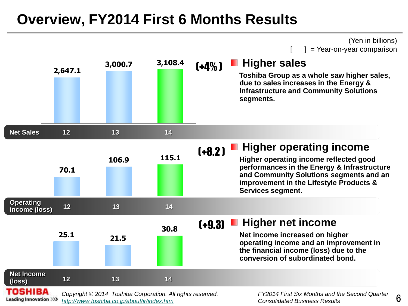#### **Overview, FY2014 First 6 Months Results**



6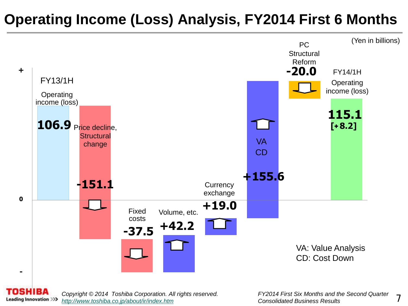# **Operating Income (Loss) Analysis, FY2014 First 6 Months**





*Copyright © 2014 Toshiba Corporation. All rights reserved. FY2014 First Six Months and the Second Quarter <http://www.toshiba.co.jp/about/ir/index.htm> Consolidated Business Results*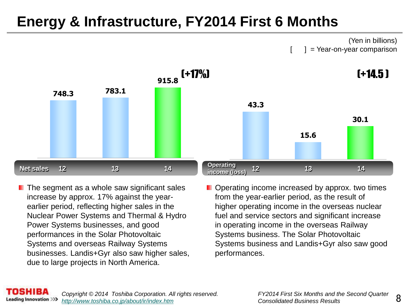### **Energy & Infrastructure, FY2014 First 6 Months**

(Yen in billions)  $] = \text{Year-on-year comparison}$ 



- $\blacksquare$  The segment as a whole saw significant sales increase by approx. 17% against the yearearlier period, reflecting higher sales in the Nuclear Power Systems and Thermal & Hydro Power Systems businesses, and good performances in the Solar Photovoltaic Systems and overseas Railway Systems businesses. Landis+Gyr also saw higher sales, due to large projects in North America.
- **D** Operating income increased by approx. two times from the year-earlier period, as the result of higher operating income in the overseas nuclear fuel and service sectors and significant increase in operating income in the overseas Railway Systems business. The Solar Photovoltaic Systems business and Landis+Gyr also saw good performances.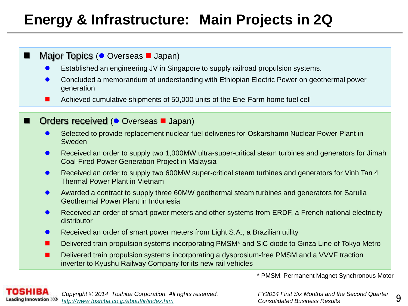# **Energy & Infrastructure: Main Projects in 2Q**

#### Major Topics ( Overseas **J** Japan)

- Established an engineering JV in Singapore to supply railroad propulsion systems.
- Concluded a memorandum of understanding with Ethiopian Electric Power on geothermal power generation
- Achieved cumulative shipments of 50,000 units of the Ene-Farm home fuel cell

#### Orders received ( $\bullet$  Overseas **I** Japan)

- Selected to provide replacement nuclear fuel deliveries for Oskarshamn Nuclear Power Plant in Sweden
- Received an order to supply two 1,000MW ultra-super-critical steam turbines and generators for Jimah Coal-Fired Power Generation Project in Malaysia
- **Received an order to supply two 600MW super-critical steam turbines and generators for Vinh Tan 4** Thermal Power Plant in Vietnam
- Awarded a contract to supply three 60MW geothermal steam turbines and generators for Sarulla Geothermal Power Plant in Indonesia
- **•** Received an order of smart power meters and other systems from ERDF, a French national electricity distributor
- Received an order of smart power meters from Light S.A., a Brazilian utility
- Delivered train propulsion systems incorporating PMSM\* and SiC diode to Ginza Line of Tokyo Metro
- Delivered train propulsion systems incorporating a dysprosium-free PMSM and a VVVF traction inverter to Kyushu Railway Company for its new rail vehicles

\* PMSM: Permanent Magnet Synchronous Motor



9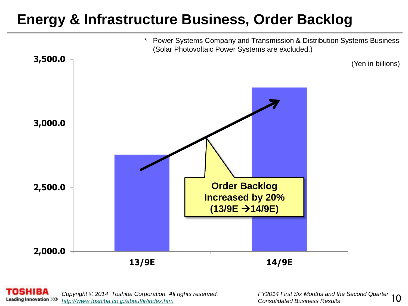#### **Energy & Infrastructure Business, Order Backlog**



8818A *Copyright © 2014 Toshiba Corporation. All rights reserved. FY2014 First Six Months and the Second Quarter*  **Leading Innovation >>>** *<http://www.toshiba.co.jp/about/ir/index.htm> Consolidated Business Results*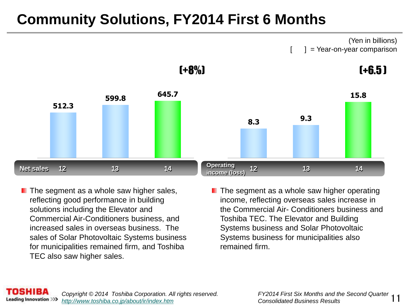# **Community Solutions, FY2014 First 6 Months**



- $\blacksquare$  The segment as a whole saw higher sales, reflecting good performance in building solutions including the Elevator and Commercial Air-Conditioners business, and increased sales in overseas business. The sales of Solar Photovoltaic Systems business for municipalities remained firm, and Toshiba TEC also saw higher sales.
- The segment as a whole saw higher operating income, reflecting overseas sales increase in the Commercial Air- Conditioners business and Toshiba TEC. The Elevator and Building Systems business and Solar Photovoltaic Systems business for municipalities also remained firm.

(Yen in billions)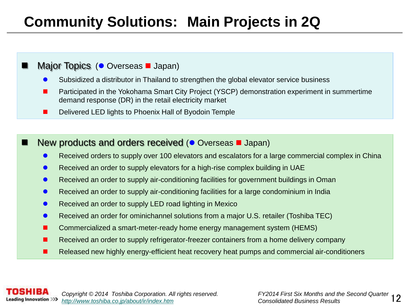### **Community Solutions: Main Projects in 2Q**

#### Major Topics ( Overseas **J** Japan)

- Subsidized a distributor in Thailand to strengthen the global elevator service business
- **Participated in the Yokohama Smart City Project (YSCP) demonstration experiment in summertime** demand response (DR) in the retail electricity market
- Delivered LED lights to Phoenix Hall of Byodoin Temple

#### New products and orders received ( $\bullet$  Overseas  $\blacksquare$  Japan)

- Received orders to supply over 100 elevators and escalators for a large commercial complex in China
- Received an order to supply elevators for a high-rise complex building in UAE
- **Received an order to supply air-conditioning facilities for government buildings in Oman**
- Received an order to supply air-conditioning facilities for a large condominium in India
- Received an order to supply LED road lighting in Mexico
- Received an order for ominichannel solutions from a major U.S. retailer (Toshiba TEC)
- **E** Commercialized a smart-meter-ready home energy management system (HEMS)
- Received an order to supply refrigerator-freezer containers from a home delivery company
- Released new highly energy-efficient heat recovery heat pumps and commercial air-conditioners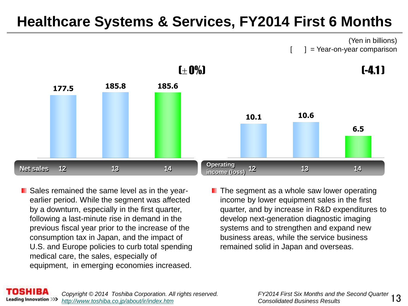#### **Healthcare Systems & Services, FY2014 First 6 Months**

(Yen in billions)  $] = \text{Year-on-year comparison}$ 



**E** Sales remained the same level as in the yearearlier period. While the segment was affected by a downturn, especially in the first quarter, following a last-minute rise in demand in the previous fiscal year prior to the increase of the consumption tax in Japan, and the impact of U.S. and Europe policies to curb total spending medical care, the sales, especially of equipment, in emerging economies increased.

The segment as a whole saw lower operating income by lower equipment sales in the first quarter, and by increase in R&D expenditures to develop next-generation diagnostic imaging systems and to strengthen and expand new business areas, while the service business remained solid in Japan and overseas.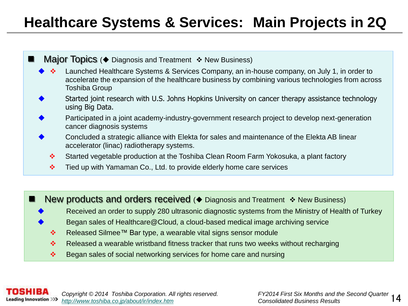### **Healthcare Systems & Services: Main Projects in 2Q**

- **Major Topics (** $\blacklozenge$  Diagnosis and Treatment  $\blacklozenge$  New Business)
	- Launched Healthcare Systems & Services Company, an in-house company, on July 1, in order to accelerate the expansion of the healthcare business by combining various technologies from across Toshiba Group
	- Started joint research with U.S. Johns Hopkins University on cancer therapy assistance technology using Big Data.
	- Participated in a joint academy-industry-government research project to develop next-generation cancer diagnosis systems
	- Concluded a strategic alliance with Elekta for sales and maintenance of the Elekta AB linear accelerator (linac) radiotherapy systems.
		- Started vegetable production at the Toshiba Clean Room Farm Yokosuka, a plant factory
		- $\cdot \cdot$  Tied up with Yamaman Co., Ltd. to provide elderly home care services

New products and orders received ( $\blacklozenge$  Diagnosis and Treatment  $\blacklozenge$  New Business)

- Received an order to supply 280 ultrasonic diagnostic systems from the Ministry of Health of Turkey
- Began sales of Healthcare@Cloud, a cloud-based medical image archiving service
- Released Silmee™ Bar type, a wearable vital signs sensor module
- \* Released a wearable wristband fitness tracker that runs two weeks without recharging
- $\bullet$  Began sales of social networking services for home care and nursing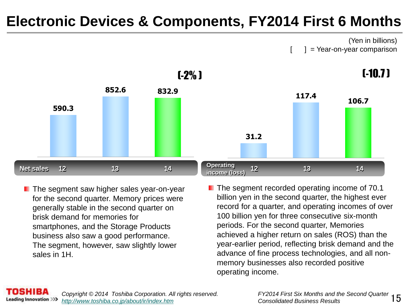#### **Electronic Devices & Components, FY2014 First 6 Months**

(Yen in billions)  $] = \text{Year-on-year comparison}$ 



- $\blacksquare$  The segment saw higher sales year-on-year for the second quarter. Memory prices were generally stable in the second quarter on brisk demand for memories for smartphones, and the Storage Products business also saw a good performance. The segment, however, saw slightly lower sales in 1H.
- **The segment recorded operating income of 70.1** billion yen in the second quarter, the highest ever record for a quarter, and operating incomes of over 100 billion yen for three consecutive six-month periods. For the second quarter, Memories achieved a higher return on sales (ROS) than the year-earlier period, reflecting brisk demand and the advance of fine process technologies, and all nonmemory businesses also recorded positive operating income.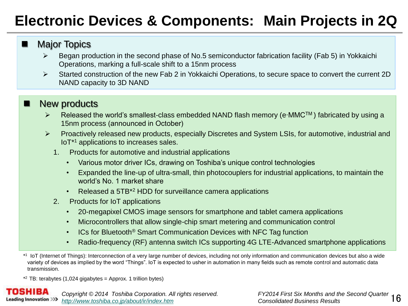# **Electronic Devices & Components: Main Projects in 2Q**

#### **Major Topics**

- Began production in the second phase of No.5 semiconductor fabrication facility (Fab 5) in Yokkaichi Operations, marking a full-scale shift to a 15nm process
- Started construction of the new Fab 2 in Yokkaichi Operations, to secure space to convert the current 2D NAND capacity to 3D NAND

#### New products

- $\triangleright$  Released the world's smallest-class embedded NAND flash memory (e·MMC<sup>TM</sup>) fabricated by using a 15nm process (announced in October)
- Proactively released new products, especially Discretes and System LSIs, for automotive, industrial and IoT\* <sup>1</sup> applications to increases sales.
	- 1. Products for automotive and industrial applications
		- Various motor driver ICs, drawing on Toshiba's unique control technologies
		- Expanded the line-up of ultra-small, thin photocouplers for industrial applications, to maintain the world's No. 1 market share
		- Released a 5TB\*<sup>2</sup> HDD for surveillance camera applications
	- 2. Products for IoT applications
		- 20-megapixel CMOS image sensors for smartphone and tablet camera applications
		- Microcontrollers that allow single-chip smart metering and communication control
		- ICs for Bluetooth<sup>®</sup> Smart Communication Devices with NFC Tag function
		- Radio-frequency (RF) antenna switch ICs supporting 4G LTE-Advanced smartphone applications
- \* 1 IoT (Internet of Things): Interconnection of a very large number of devices, including not only information and communication devices but also a wide variety of devices as implied by the word "Things". IoT is expected to usher in automation in many fields such as remote control and automatic data transmission.

 $*$ <sup>2</sup> TB: terabytes (1,024 gigabytes = Approx. 1 trillion bytes)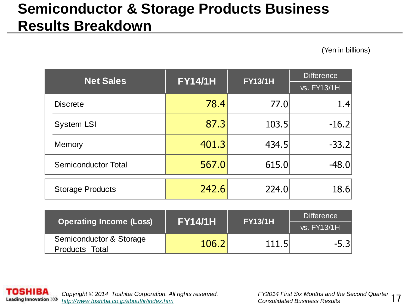### **Semiconductor & Storage Products Business Results Breakdown**

(Yen in billions)

| <b>Net Sales</b>           | <b>FY14/1H</b> | <b>FY13/1H</b> | <b>Difference</b> |
|----------------------------|----------------|----------------|-------------------|
|                            |                |                | vs. FY13/1H       |
| <b>Discrete</b>            | 78.4           | 77.0           | 1.4               |
| <b>System LSI</b>          | 87.3           | 103.5          | $-16.2$           |
| Memory                     | 401.3          | 434.5          | $-33.2$           |
| <b>Semiconductor Total</b> | 567.0          | 615.0          | $-48.0$           |
| <b>Storage Products</b>    | 242.6          | 224.0          | 18.6              |

| <b>Operating Income (Loss)</b> | <b>FY14/1H</b> | <b>FY13/1H</b> | <b>Difference</b>    |  |
|--------------------------------|----------------|----------------|----------------------|--|
|                                |                |                | $\sqrt{s}$ . FY13/1H |  |
| Semiconductor & Storage        | 106.2          | 111.5          |                      |  |
| Products Total                 |                |                |                      |  |

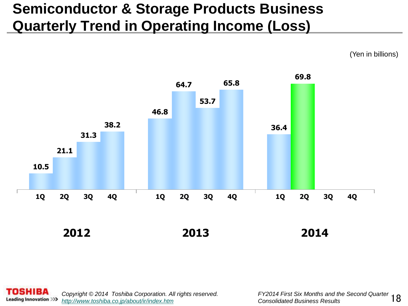## **Semiconductor & Storage Products Business Quarterly Trend in Operating Income (Loss)**

(Yen in billions)





FY2014 First Six Months and the Second Quarter 18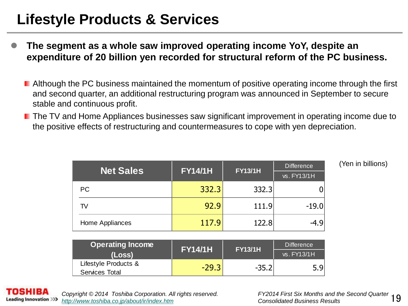### **Lifestyle Products & Services**

- **The segment as a whole saw improved operating income YoY, despite an expenditure of 20 billion yen recorded for structural reform of the PC business.**
	- **E** Although the PC business maintained the momentum of positive operating income through the first and second quarter, an additional restructuring program was announced in September to secure stable and continuous profit.
	- **The TV and Home Appliances businesses saw significant improvement in operating income due to** the positive effects of restructuring and countermeasures to cope with yen depreciation.

| <b>Net Sales</b> | <b>FY14/1H</b> | <b>FY13/1H</b> | <b>Difference</b><br>vs. FY13/1H |
|------------------|----------------|----------------|----------------------------------|
| PC.              | 332.3          | 332.3          |                                  |
| TV               | 92.9           | 111.9          | $-19.0$                          |
| Home Appliances  | 117.9          | 122.8          |                                  |

(Yen in billions)

| <b>Operating Income</b> | <b>FY14/1H</b> | <b>FY13/1H</b> | <b>Difference</b> |
|-------------------------|----------------|----------------|-------------------|
| (Loss)                  |                |                | vs. FY13/1H       |
| Lifestyle Products &    | $-29.3$        | $-35.2$        | 5.9               |
| Services Total          |                |                |                   |

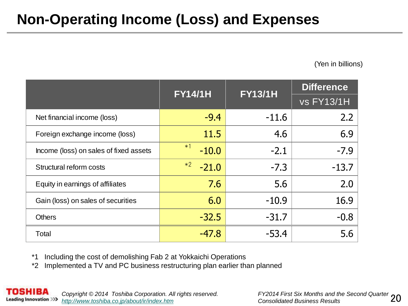# **Non-Operating Income (Loss) and Expenses**

(Yen in billions)

|                                        | <b>FY14/1H</b>  | <b>FY13/1H</b> | <b>Difference</b> |
|----------------------------------------|-----------------|----------------|-------------------|
|                                        |                 |                | <b>vs FY13/1H</b> |
| Net financial income (loss)            | $-9.4$          | $-11.6$        | 2.2               |
| Foreign exchange income (loss)         | 11.5            | 4.6            | 6.9               |
| Income (loss) on sales of fixed assets | $*1$<br>$-10.0$ | $-2.1$         | $-7.9$            |
| Structural reform costs                | $*2$<br>$-21.0$ | $-7.3$         | $-13.7$           |
| Equity in earnings of affiliates       | 7.6             | 5.6            | 2.0               |
| Gain (loss) on sales of securities     | 6.0             | $-10.9$        | 16.9              |
| <b>Others</b>                          | $-32.5$         | $-31.7$        | $-0.8$            |
| Total                                  | $-47.8$         | $-53.4$        | 5.6               |

\*1 Including the cost of demolishing Fab 2 at Yokkaichi Operations

\*2 Implemented a TV and PC business restructuring plan earlier than planned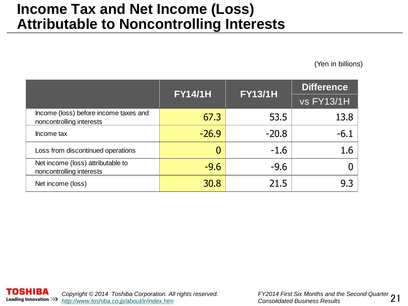#### **Income Tax and Net Income (Loss) Attributable to Noncontrolling Interests**

(Yen in billions)

|                                                                   | <b>FY14/1H</b> | <b>FY13/1H</b> | <b>Difference</b> |
|-------------------------------------------------------------------|----------------|----------------|-------------------|
|                                                                   |                |                | <b>vs FY13/1H</b> |
| Income (loss) before income taxes and<br>noncontrolling interests | 67.3           | 53.5           | 13.8              |
| Income tax                                                        | $-26.9$        | $-20.8$        | $-6.1$            |
| Loss from discontinued operations                                 |                | $-1.6$         | 1.6               |
| Net income (loss) attributable to<br>noncontrolling interests     | $-9.6$         | $-9.6$         |                   |
| Net income (loss)                                                 | 30.8           | 21.5           | 9.3               |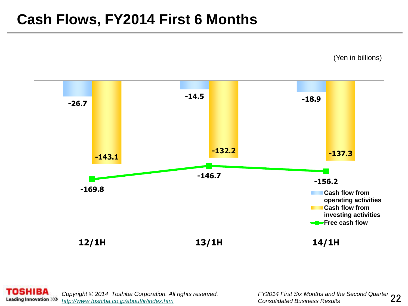#### **Cash Flows, FY2014 First 6 Months**

(Yen in billions)





FY2014 First Six Months and the Second Quarter 22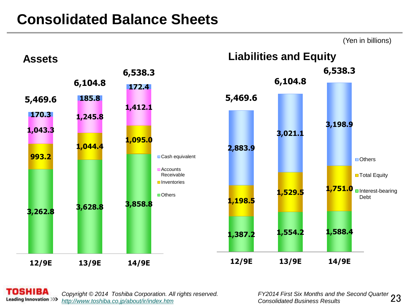#### **Consolidated Balance Sheets**



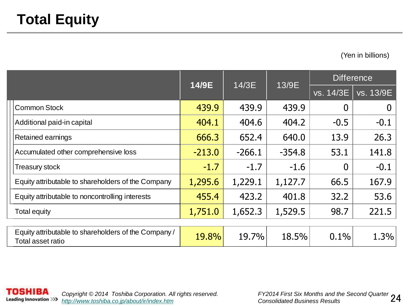(Yen in billions)

|                                                                           | 14/9E    | 14/3E    |          | <b>Difference</b> |           |
|---------------------------------------------------------------------------|----------|----------|----------|-------------------|-----------|
|                                                                           |          |          | 13/9E    | vs. 14/3E         | vs. 13/9E |
| <b>Common Stock</b>                                                       | 439.9    | 439.9    | 439.9    | 0                 | $\bf{0}$  |
| Additional paid-in capital                                                | 404.1    | 404.6    | 404.2    | $-0.5$            | $-0.1$    |
| Retained earnings                                                         | 666.3    | 652.4    | 640.0    | 13.9              | 26.3      |
| Accumulated other comprehensive loss                                      | $-213.0$ | $-266.1$ | $-354.8$ | 53.1              | 141.8     |
| <b>Treasury stock</b>                                                     | $-1.7$   | $-1.7$   | $-1.6$   | $\overline{0}$    | $-0.1$    |
| Equity attributable to shareholders of the Company                        | 1,295.6  | 1,229.1  | 1,127.7  | 66.5              | 167.9     |
| Equity attributable to noncontrolling interests                           | 455.4    | 423.2    | 401.8    | 32.2              | 53.6      |
| <b>Total equity</b>                                                       | 1,751.0  | 1,652.3  | 1,529.5  | 98.7              | 221.5     |
|                                                                           |          |          |          |                   |           |
| Equity attributable to shareholders of the Company /<br>Total asset ratio | 19.8%    | 19.7%    | 18.5%    | 0.1%              | 1.3%      |

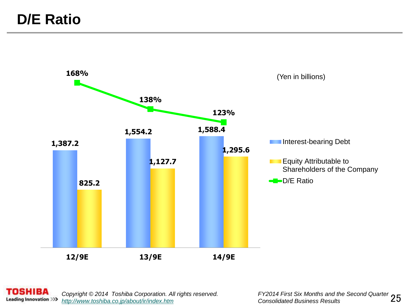

**TOSHIBA** *Copyright © 2014 Toshiba Corporation. All rights reserved.* **Leading Innovation >>>** *<http://www.toshiba.co.jp/about/ir/index.htm> Consolidated Business Results*

FY2014 First Six Months and the Second Quarter 25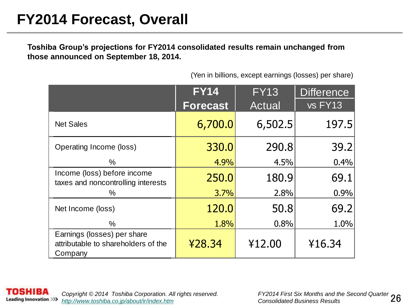**Toshiba Group's projections for FY2014 consolidated results remain unchanged from those announced on September 18, 2014.**

|                                                                               | <b>FY14</b>     | <b>FY13</b> | <b>Difference</b> |
|-------------------------------------------------------------------------------|-----------------|-------------|-------------------|
|                                                                               | <b>Forecast</b> | Actual      | vs FY13           |
| <b>Net Sales</b>                                                              | 6,700.0         | 6,502.5     | 197.5             |
| Operating Income (loss)                                                       | 330.0           | 290.8       | 39.2              |
| %                                                                             | 4.9%            | 4.5%        | 0.4%              |
| Income (loss) before income<br>taxes and noncontrolling interests             | 250.0           | 180.9       | 69.1              |
| ℅                                                                             | 3.7%            | 2.8%        | 0.9%              |
| Net Income (loss)                                                             | 120.0           | 50.8        | 69.2              |
| $\%$                                                                          | 1.8%            | 0.8%        | 1.0%              |
| Earnings (losses) per share<br>attributable to shareholders of the<br>Company | ¥28.34          | ¥12.00      | ¥16.34            |

(Yen in billions, except earnings (losses) per share)

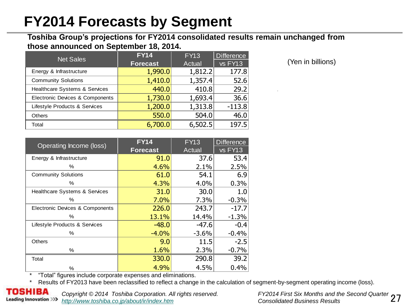### **FY2014 Forecasts by Segment**

#### **Toshiba Group's projections for FY2014 consolidated results remain unchanged from those announced on September 18, 2014.**

| <b>Net Sales</b>                | <b>FY14</b>     | <b>FY13</b> | <b>Difference</b> |
|---------------------------------|-----------------|-------------|-------------------|
|                                 | <b>Forecast</b> | Actual      | vs FY13           |
| Energy & Infrastructure         | 1,990.0         | 1,812.2     | 177.8             |
| <b>Community Solutions</b>      | 1,410.0         | 1,357.4     | 52.6              |
| Healthcare Systems & Services   | 440.0           | 410.8       | 29.2              |
| Electronic Devices & Components | 1,730.0         | 1,693.4     | 36.6              |
| Lifestyle Products & Services   | 1,200.0         | 1,313.8     | $-113.8$          |
| <b>Others</b>                   | 550.0           | 504.0       | 46.0              |
| Total                           | 6,700.0         | 6,502.5     | 197.5             |

(Yen in billions)

| Operating Income (loss)                  | FY14            | <b>FY13</b> | <b>Difference</b> |
|------------------------------------------|-----------------|-------------|-------------------|
|                                          | <b>Forecast</b> | Actual      | vs FY13           |
| Energy & Infrastructure                  | 91.0            | 37.6        | 53.4              |
| %                                        | 4.6%            | 2.1%        | 2.5%              |
| <b>Community Solutions</b>               | 61.0            | 54.1        | 6.9               |
| %                                        | 4.3%            | 4.0%        | 0.3%              |
| <b>Healthcare Systems &amp; Services</b> | 31.0            | 30.0        | 1.0               |
| %                                        | 7.0%            | 7.3%        | $-0.3%$           |
| Electronic Devices & Components          | 226.0           | 243.7       | $-17.7$           |
| %                                        | 13.1%           | 14.4%       | $-1.3%$           |
| Lifestyle Products & Services            | $-48.0$         | $-47.6$     | $-0.4$            |
| %                                        | $-4.0%$         | $-3.6%$     | $-0.4%$           |
| <b>Others</b>                            | 9.0             | 11.5        | $-2.5$            |
| %                                        | 1.6%            | 2.3%        | $-0.7%$           |
| Total                                    | 330.0           | 290.8       | 39.2              |
| %                                        | 4.9%            | 4.5%        | 0.4%              |

\* "Total" figures include corporate expenses and eliminations.

Results of FY2013 have been reclassified to reflect a change in the calculation of segment-by-segment operating income (loss).

**Leading Innovation >>>** 

*Copyright © 2014 Toshiba Corporation. All rights reserved. <http://www.toshiba.co.jp/about/ir/index.htm> Consolidated Business Results*

FY2014 First Six Months and the Second Quarter 27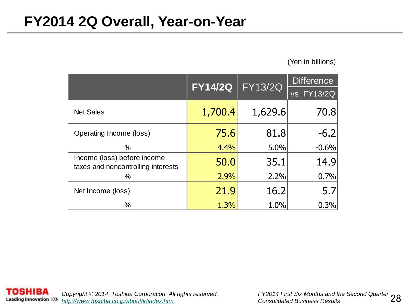#### **FY2014 2Q Overall, Year-on-Year**

#### (Yen in billions)

|                                                                   | <b>FY14/2Q</b> | <b>FY13/2Q</b> | <b>Difference</b> |  |
|-------------------------------------------------------------------|----------------|----------------|-------------------|--|
|                                                                   |                |                | vs. FY13/2Q       |  |
| <b>Net Sales</b>                                                  | 1,700.4        | 1,629.6        | 70.8              |  |
| Operating Income (loss)                                           | 75.6           | 81.8           | $-6.2$            |  |
| $\%$                                                              | 4.4%           | 5.0%           | $-0.6%$           |  |
| Income (loss) before income<br>taxes and noncontrolling interests | 50.0           | 35.1           | 14.9              |  |
| ℅                                                                 | 2.9%           | 2.2%           | 0.7%              |  |
| Net Income (loss)                                                 | 21.9           | 16.2           | 5.7               |  |
| %                                                                 | 1.3%           | 1.0%           | 0.3%              |  |

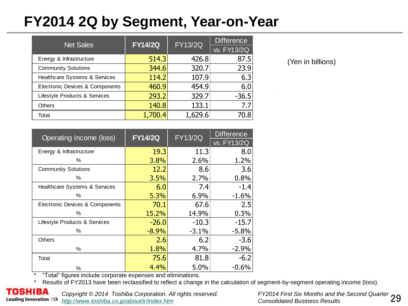### **FY2014 2Q by Segment, Year-on-Year**

| <b>Net Sales</b>                | <b>FY14/2Q</b> | <b>FY13/2Q</b> | Difference  |  |
|---------------------------------|----------------|----------------|-------------|--|
|                                 |                |                | vs. FY13/2Q |  |
| Energy & Infrastructure         | 514.3          | 426.8          | 87.5        |  |
| <b>Community Solutions</b>      | 344.6          | 320.7          | 23.9        |  |
| Healthcare Systems & Services   | 114.2          | 107.9          | 6.3         |  |
| Electronic Devices & Components | 460.9          | 454.9          | 6.0         |  |
| Lifestyle Products & Services   | 293.2          | 329.7          | $-36.5$     |  |
| <b>Others</b>                   | 140.8          | 133.1          | 7.7         |  |
| Total                           | 1,700.4        | 1,629.6        | 70.8        |  |

(Yen in billions)

| Operating Income (loss)         | <b>FY14/2Q</b> | <b>FY13/2Q</b> | <b>Difference</b> |  |
|---------------------------------|----------------|----------------|-------------------|--|
|                                 |                |                | vs. FY13/2Q       |  |
| Energy & Infrastructure         | 19.3           | 11.3           | 8.0               |  |
| $\%$                            | 3.8%           | 2.6%           | 1.2%              |  |
| <b>Community Solutions</b>      | 12.2           | 8.6            | 3.6               |  |
| %                               | 3.5%           | 2.7%           | 0.8%              |  |
| Healthcare Systems & Services   | 6.0            | 7.4            | $-1.4$            |  |
| $\%$                            | 5.3%           | 6.9%           | $-1.6%$           |  |
| Electronic Devices & Components | 70.1           | 67.6           | 2.5               |  |
| $\%$                            | 15.2%          | 14.9%          | 0.3%              |  |
| Lifestyle Products & Services   | $-26.0$        | $-10.3$        | $-15.7$           |  |
| %                               | $-8.9%$        | $-3.1%$        | $-5.8%$           |  |
| <b>Others</b>                   | 2.6            | 6.2            | $-3.6$            |  |
| %                               | 1.8%           | 4.7%           | $-2.9%$           |  |
| Total                           | 75.6           | 81.8           | $-6.2$            |  |
| %                               | 4.4%           | 5.0%           | $-0.6%$           |  |

\* "Total" figures include corporate expenses and eliminations.

\* Results of FY2013 have been reclassified to reflect a change in the calculation of segment-by-segment operating income (loss).



*Copyright © 2014 Toshiba Corporation. All rights reserved. <http://www.toshiba.co.jp/about/ir/index.htm> Consolidated Business Results*

FY2014 First Six Months and the Second Quarter 29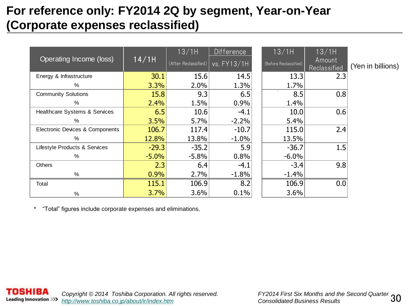#### **For reference only: FY2014 2Q by segment, Year-on-Year (Corporate expenses reclassified)**

|                                 |         | 13/1H                | <b>Difference</b> | 13/1H                 | 13/1H                  |                   |
|---------------------------------|---------|----------------------|-------------------|-----------------------|------------------------|-------------------|
| Operating Income (loss)         | 14/1H   | (After Reclassified) | vs. FY13/1H       | (Before Reclassified) | Amount<br>Reclassified | (Yen in billions) |
| Energy & Infrastructure         | 30.1    | 15.6                 | 14.5              | 13.3                  | 2.3                    |                   |
| %                               | 3.3%    | 2.0%                 | 1.3%              | 1.7%                  |                        |                   |
| <b>Community Solutions</b>      | 15.8    | 9.3                  | 6.5               | 8.5                   | 0.8                    |                   |
| %                               | 2.4%    | 1.5%                 | 0.9%              | 1.4%                  |                        |                   |
| Healthcare Systems & Services   | 6.5     | 10.6                 | $-4.1$            | 10.0                  | 0.6                    |                   |
| $\%$                            | 3.5%    | 5.7%                 | $-2.2%$           | 5.4%                  |                        |                   |
| Electronic Devices & Components | 106.7   | 117.4                | $-10.7$           | 115.0                 | 2.4                    |                   |
| %                               | 12.8%   | 13.8%                | $-1.0%$           | 13.5%                 |                        |                   |
| Lifestyle Products & Services   | $-29.3$ | $-35.2$              | 5.9               | $-36.7$               | 1.5                    |                   |
| %                               | $-5.0%$ | $-5.8%$              | 0.8%              | $-6.0%$               |                        |                   |
| Others                          | 2.3     | 6.4                  | $-4.1$            | $-3.4$                | 9.8                    |                   |
| $\%$                            | 0.9%    | 2.7%                 | $-1.8%$           | $-1.4%$               |                        |                   |
| Total                           | 115.1   | 106.9                | 8.2               | 106.9                 | 0.0                    |                   |
| %                               | 3.7%    | 3.6%                 | 0.1%              | 3.6%                  |                        |                   |

\* "Total" figures include corporate expenses and eliminations.